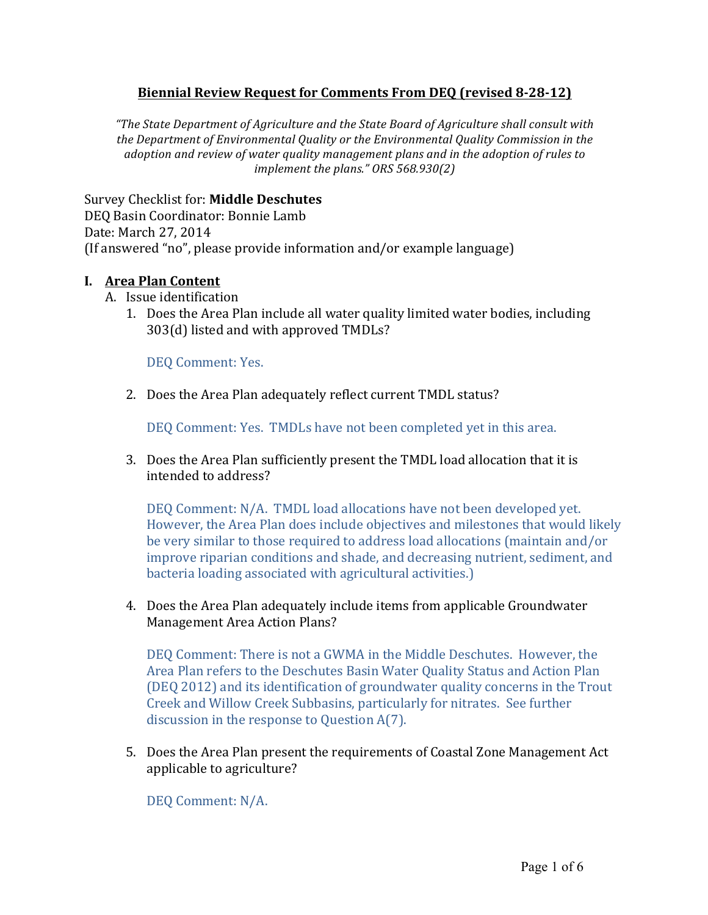# **Biennial Review Request for Comments From DEQ (revised 8-28-12)**

"The State Department of Agriculture and the State Board of Agriculture shall consult with the Department of Environmental Quality or the Environmental Quality Commission in the *adoption and review of water quality management plans and in the adoption of rules to implement the plans." ORS* 568.930(2)

Survey Checklist for: **Middle Deschutes**

DEQ Basin Coordinator: Bonnie Lamb Date: March 27, 2014 (If answered "no", please provide information and/or example language)

#### **I. Area Plan Content**

- A. Issue identification
	- 1. Does the Area Plan include all water quality limited water bodies, including  $303(d)$  listed and with approved TMDLs?

DEQ Comment: Yes.

2. Does the Area Plan adequately reflect current TMDL status?

DEO Comment: Yes. TMDLs have not been completed yet in this area.

3. Does the Area Plan sufficiently present the TMDL load allocation that it is intended to address?

DEQ Comment: N/A. TMDL load allocations have not been developed yet. However, the Area Plan does include objectives and milestones that would likely be very similar to those required to address load allocations (maintain and/or improve riparian conditions and shade, and decreasing nutrient, sediment, and bacteria loading associated with agricultural activities.)

4. Does the Area Plan adequately include items from applicable Groundwater Management Area Action Plans?

DEQ Comment: There is not a GWMA in the Middle Deschutes. However, the Area Plan refers to the Deschutes Basin Water Quality Status and Action Plan (DEQ 2012) and its identification of groundwater quality concerns in the Trout Creek and Willow Creek Subbasins, particularly for nitrates. See further discussion in the response to Question  $A(7)$ .

5. Does the Area Plan present the requirements of Coastal Zone Management Act applicable to agriculture?

DEQ Comment: N/A.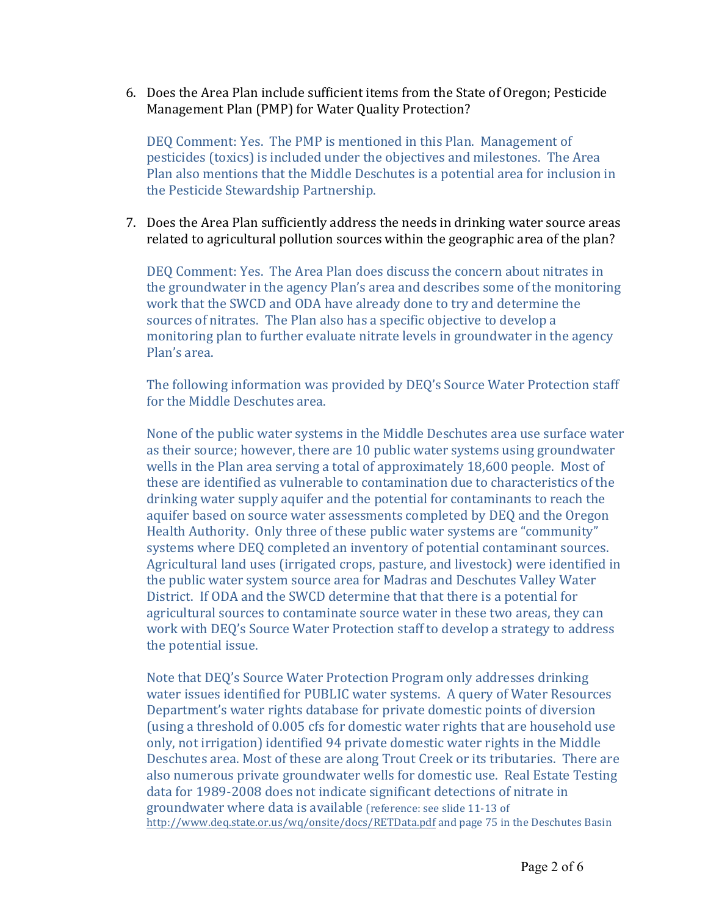6. Does the Area Plan include sufficient items from the State of Oregon; Pesticide Management Plan (PMP) for Water Quality Protection?

DEQ Comment: Yes. The PMP is mentioned in this Plan. Management of pesticides (toxics) is included under the objectives and milestones. The Area Plan also mentions that the Middle Deschutes is a potential area for inclusion in the Pesticide Stewardship Partnership.

7. Does the Area Plan sufficiently address the needs in drinking water source areas related to agricultural pollution sources within the geographic area of the plan?

DEQ Comment: Yes. The Area Plan does discuss the concern about nitrates in the groundwater in the agency Plan's area and describes some of the monitoring work that the SWCD and ODA have already done to try and determine the sources of nitrates. The Plan also has a specific objective to develop a monitoring plan to further evaluate nitrate levels in groundwater in the agency Plan's area.

The following information was provided by DEQ's Source Water Protection staff for the Middle Deschutes area.

None of the public water systems in the Middle Deschutes area use surface water as their source; however, there are 10 public water systems using groundwater wells in the Plan area serving a total of approximately  $18,600$  people. Most of these are identified as vulnerable to contamination due to characteristics of the drinking water supply aquifer and the potential for contaminants to reach the aquifer based on source water assessments completed by DEQ and the Oregon Health Authority. Only three of these public water systems are "community" systems where DEQ completed an inventory of potential contaminant sources. Agricultural land uses (irrigated crops, pasture, and livestock) were identified in the public water system source area for Madras and Deschutes Valley Water District. If ODA and the SWCD determine that that there is a potential for agricultural sources to contaminate source water in these two areas, they can work with DEQ's Source Water Protection staff to develop a strategy to address the potential issue.

Note that DEQ's Source Water Protection Program only addresses drinking water issues identified for PUBLIC water systems. A query of Water Resources Department's water rights database for private domestic points of diversion (using a threshold of 0.005 cfs for domestic water rights that are household use only, not irrigation) identified 94 private domestic water rights in the Middle Deschutes area. Most of these are along Trout Creek or its tributaries. There are also numerous private groundwater wells for domestic use. Real Estate Testing data for 1989-2008 does not indicate significant detections of nitrate in groundwater where data is available (reference: see slide 11-13 of http://www.deq.state.or.us/wq/onsite/docs/RETData.pdf and page 75 in the Deschutes Basin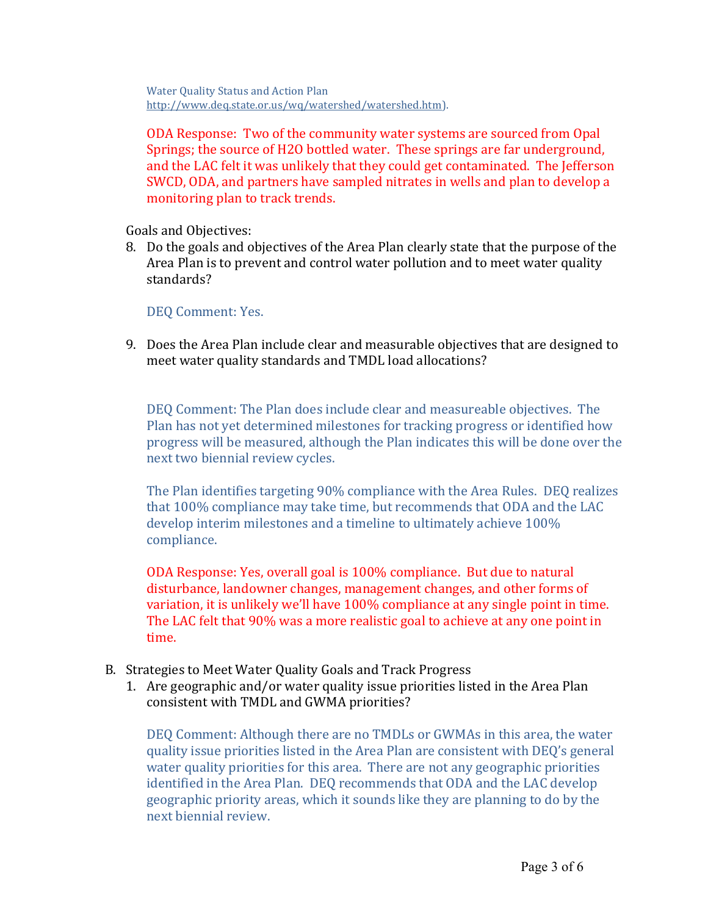Water Ouality Status and Action Plan http://www.deq.state.or.us/wq/watershed/watershed.htm).

ODA Response: Two of the community water systems are sourced from Opal Springs; the source of H2O bottled water. These springs are far underground, and the LAC felt it was unlikely that they could get contaminated. The Jefferson SWCD, ODA, and partners have sampled nitrates in wells and plan to develop a monitoring plan to track trends.

Goals and Objectives:

8. Do the goals and objectives of the Area Plan clearly state that the purpose of the Area Plan is to prevent and control water pollution and to meet water quality standards?

DEO Comment: Yes.

9. Does the Area Plan include clear and measurable objectives that are designed to meet water quality standards and TMDL load allocations?

DEQ Comment: The Plan does include clear and measureable objectives. The Plan has not yet determined milestones for tracking progress or identified how progress will be measured, although the Plan indicates this will be done over the next two biennial review cycles.

The Plan identifies targeting 90% compliance with the Area Rules. DEQ realizes that 100% compliance may take time, but recommends that ODA and the LAC develop interim milestones and a timeline to ultimately achieve 100% compliance.

ODA Response: Yes, overall goal is 100% compliance. But due to natural disturbance, landowner changes, management changes, and other forms of variation, it is unlikely we'll have 100% compliance at any single point in time. The LAC felt that 90% was a more realistic goal to achieve at any one point in time.

- B. Strategies to Meet Water Quality Goals and Track Progress
	- 1. Are geographic and/or water quality issue priorities listed in the Area Plan consistent with TMDL and GWMA priorities?

DEQ Comment: Although there are no TMDLs or GWMAs in this area, the water quality issue priorities listed in the Area Plan are consistent with DEQ's general water quality priorities for this area. There are not any geographic priorities identified in the Area Plan. DEO recommends that ODA and the LAC develop geographic priority areas, which it sounds like they are planning to do by the next biennial review.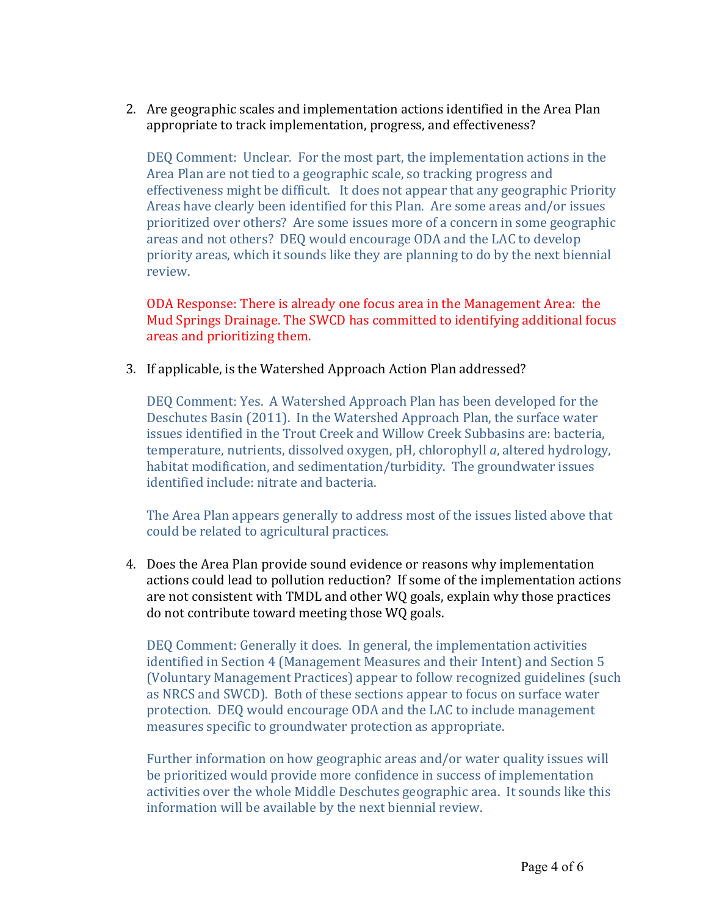2. Are geographic scales and implementation actions identified in the Area Plan appropriate to track implementation, progress, and effectiveness?

DEQ Comment: Unclear. For the most part, the implementation actions in the Area Plan are not tied to a geographic scale, so tracking progress and effectiveness might be difficult. It does not appear that any geographic Priority Areas have clearly been identified for this Plan. Are some areas and/or issues prioritized over others? Are some issues more of a concern in some geographic areas and not others? DEQ would encourage ODA and the LAC to develop priority areas, which it sounds like they are planning to do by the next biennial review.

ODA Response: There is already one focus area in the Management Area: the Mud Springs Drainage. The SWCD has committed to identifying additional focus areas and prioritizing them.

3. If applicable, is the Watershed Approach Action Plan addressed?

DEO Comment: Yes. A Watershed Approach Plan has been developed for the Deschutes Basin (2011). In the Watershed Approach Plan, the surface water issues identified in the Trout Creek and Willow Creek Subbasins are: bacteria, temperature, nutrients, dissolved oxygen, pH, chlorophyll *a*, altered hydrology, habitat modification, and sedimentation/turbidity. The groundwater issues identified include: nitrate and bacteria.

The Area Plan appears generally to address most of the issues listed above that could be related to agricultural practices.

4. Does the Area Plan provide sound evidence or reasons why implementation actions could lead to pollution reduction? If some of the implementation actions are not consistent with TMDL and other WQ goals, explain why those practices do not contribute toward meeting those WQ goals.

DEQ Comment: Generally it does. In general, the implementation activities identified in Section 4 (Management Measures and their Intent) and Section 5 (Voluntary Management Practices) appear to follow recognized guidelines (such as NRCS and SWCD). Both of these sections appear to focus on surface water protection. DEQ would encourage ODA and the LAC to include management measures specific to groundwater protection as appropriate.

Further information on how geographic areas and/or water quality issues will be prioritized would provide more confidence in success of implementation activities over the whole Middle Deschutes geographic area. It sounds like this information will be available by the next biennial review.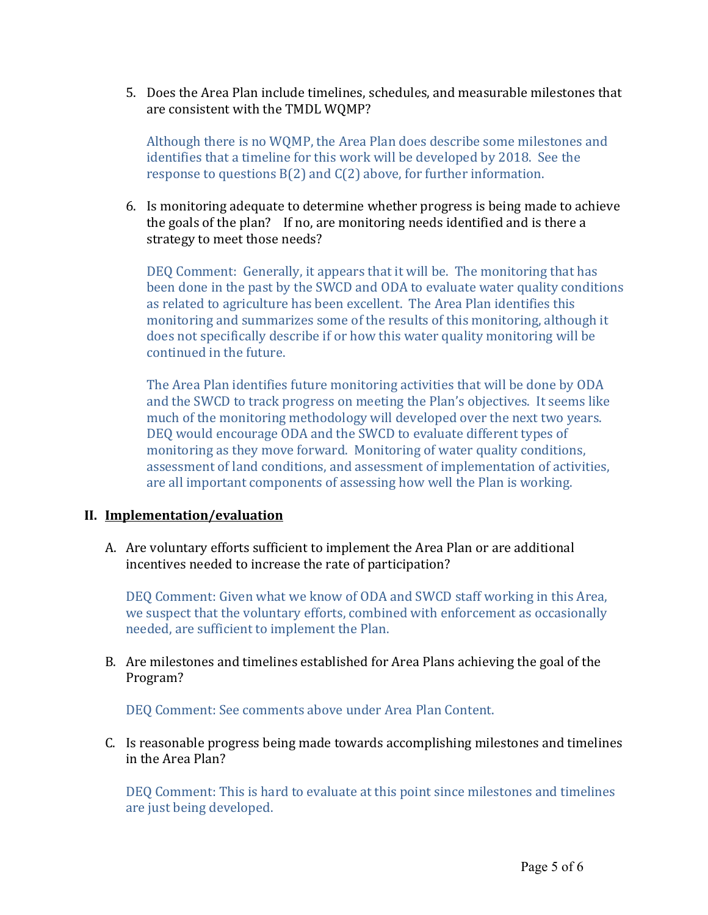5. Does the Area Plan include timelines, schedules, and measurable milestones that are consistent with the TMDL WQMP?

Although there is no WQMP, the Area Plan does describe some milestones and identifies that a timeline for this work will be developed by 2018. See the response to questions  $B(2)$  and  $C(2)$  above, for further information.

6. Is monitoring adequate to determine whether progress is being made to achieve the goals of the plan? If no, are monitoring needs identified and is there a strategy to meet those needs?

DEQ Comment: Generally, it appears that it will be. The monitoring that has been done in the past by the SWCD and ODA to evaluate water quality conditions as related to agriculture has been excellent. The Area Plan identifies this monitoring and summarizes some of the results of this monitoring, although it does not specifically describe if or how this water quality monitoring will be continued in the future.

The Area Plan identifies future monitoring activities that will be done by ODA and the SWCD to track progress on meeting the Plan's objectives. It seems like much of the monitoring methodology will developed over the next two years. DEQ would encourage ODA and the SWCD to evaluate different types of monitoring as they move forward. Monitoring of water quality conditions, assessment of land conditions, and assessment of implementation of activities, are all important components of assessing how well the Plan is working.

## **II. Implementation/evaluation**

A. Are voluntary efforts sufficient to implement the Area Plan or are additional incentives needed to increase the rate of participation?

DEQ Comment: Given what we know of ODA and SWCD staff working in this Area, we suspect that the voluntary efforts, combined with enforcement as occasionally needed, are sufficient to implement the Plan.

B. Are milestones and timelines established for Area Plans achieving the goal of the Program?

DEQ Comment: See comments above under Area Plan Content.

C. Is reasonable progress being made towards accomplishing milestones and timelines in the Area Plan?

DEQ Comment: This is hard to evaluate at this point since milestones and timelines are just being developed.